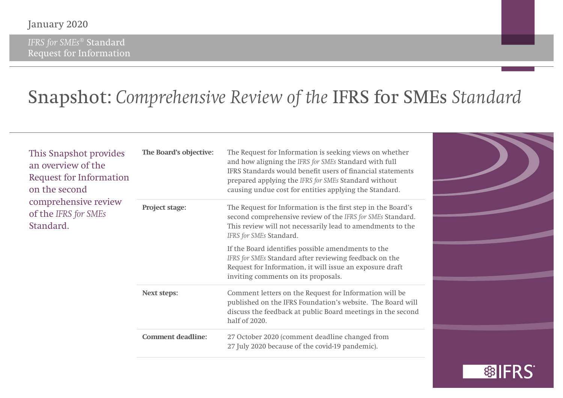*IFRS for SMEs*® Standard Request for Information

### Snapshot: *Comprehensive Review of the* IFRS for SMEs *Standard*

| This Snapshot provides<br>an overview of the<br><b>Request for Information</b><br>on the second<br>comprehensive review<br>of the IFRS for SMEs<br>Standard. | The Board's objective:   | The Request for Information is seeking views on whether<br>and how aligning the IFRS for SMEs Standard with full<br>IFRS Standards would benefit users of financial statements<br>prepared applying the IFRS for SMEs Standard without<br>causing undue cost for entities applying the Standard. |  |
|--------------------------------------------------------------------------------------------------------------------------------------------------------------|--------------------------|--------------------------------------------------------------------------------------------------------------------------------------------------------------------------------------------------------------------------------------------------------------------------------------------------|--|
|                                                                                                                                                              | Project stage:           | The Request for Information is the first step in the Board's<br>second comprehensive review of the IFRS for SMEs Standard.<br>This review will not necessarily lead to amendments to the<br>IFRS for SMEs Standard.                                                                              |  |
|                                                                                                                                                              |                          | If the Board identifies possible amendments to the<br>IFRS for SMEs Standard after reviewing feedback on the<br>Request for Information, it will issue an exposure draft<br>inviting comments on its proposals.                                                                                  |  |
|                                                                                                                                                              | <b>Next steps:</b>       | Comment letters on the Request for Information will be<br>published on the IFRS Foundation's website. The Board will<br>discuss the feedback at public Board meetings in the second<br>half of 2020.                                                                                             |  |
|                                                                                                                                                              | <b>Comment deadline:</b> | 27 October 2020 (comment deadline changed from<br>27 July 2020 because of the covid-19 pandemic).                                                                                                                                                                                                |  |

**參IFRS**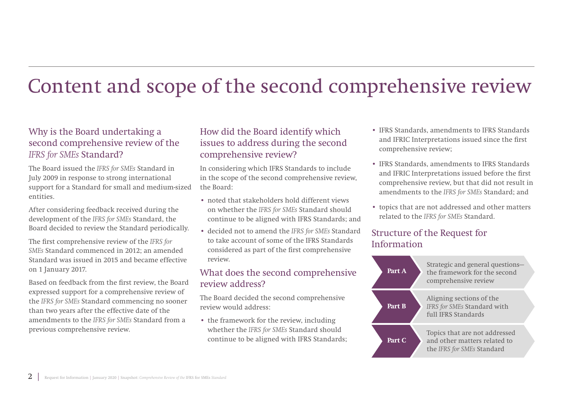## Content and scope of the second comprehensive review

### Why is the Board undertaking a second comprehensive review of the *IFRS for SMEs* Standard?

The Board issued the *IFRS for SMEs* Standard in July 2009 in response to strong international support for a Standard for small and medium-sized entities.

After considering feedback received during the development of the *IFRS for SMEs* Standard, the Board decided to review the Standard periodically.

The first comprehensive review of the *IFRS for SMEs* Standard commenced in 2012; an amended Standard was issued in 2015 and became effective on 1 January 2017.

Based on feedback from the first review, the Board expressed support for a comprehensive review of the *IFRS for SMEs* Standard commencing no sooner than two years after the effective date of the amendments to the *IFRS for SMEs* Standard from a previous comprehensive review.

### How did the Board identify which issues to address during the second comprehensive review?

In considering which IFRS Standards to include in the scope of the second comprehensive review, the Board:

- noted that stakeholders hold different views on whether the *IFRS for SMEs* Standard should continue to be aligned with IFRS Standards; and
- decided not to amend the *IFRS for SMEs* Standard to take account of some of the IFRS Standards considered as part of the first comprehensive review.

### What does the second comprehensive review address?

The Board decided the second comprehensive review would address:

• the framework for the review, including whether the *IFRS for SMEs* Standard should continue to be aligned with IFRS Standards;

- IFRS Standards, amendments to IFRS Standards and IFRIC Interpretations issued since the first comprehensive review;
- IFRS Standards, amendments to IFRS Standards and IFRIC Interpretations issued before the first comprehensive review, but that did not result in amendments to the *IFRS for SMEs* Standard; and
- topics that are not addressed and other matters related to the *IFRS for SMEs* Standard.

### Structure of the Request for Information

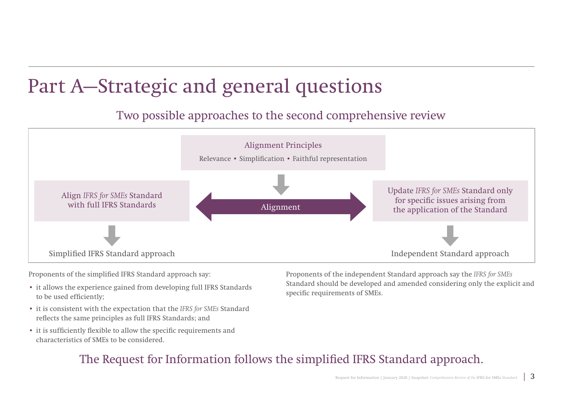## Part A—Strategic and general questions

### Two possible approaches to the second comprehensive review



Proponents of the simplified IFRS Standard approach say:

- it allows the experience gained from developing full IFRS Standards to be used efficiently;
- it is consistent with the expectation that the *IFRS for SMEs* Standard reflects the same principles as full IFRS Standards; and
- it is sufficiently flexible to allow the specific requirements and characteristics of SMEs to be considered.

Proponents of the independent Standard approach say the *IFRS for SMEs*  Standard should be developed and amended considering only the explicit and specific requirements of SMEs.

### The Request for Information follows the simplified IFRS Standard approach.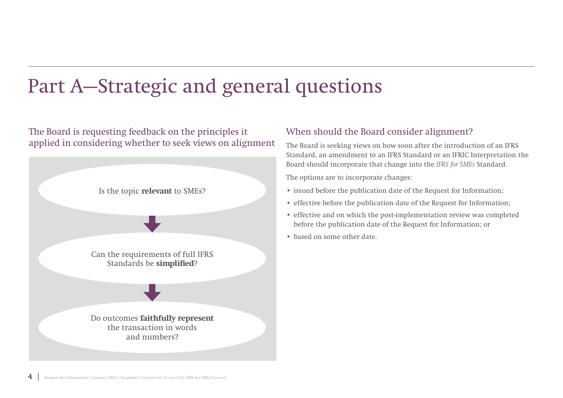## Part A—Strategic and general questions

### The Board is requesting feedback on the principles it applied in considering whether to seek views on alignment



### When should the Board consider alignment?

The Board is seeking views on how soon after the introduction of an IFRS Standard, an amendment to an IFRS Standard or an IFRIC Interpretation the Board should incorporate that change into the *IFRS for SMEs* Standard.

The options are to incorporate changes:

- issued before the publication date of the Request for Information;
- effective before the publication date of the Request for Information;
- effective and on which the post-implementation review was completed before the publication date of the Request for Information; or
- based on some other date.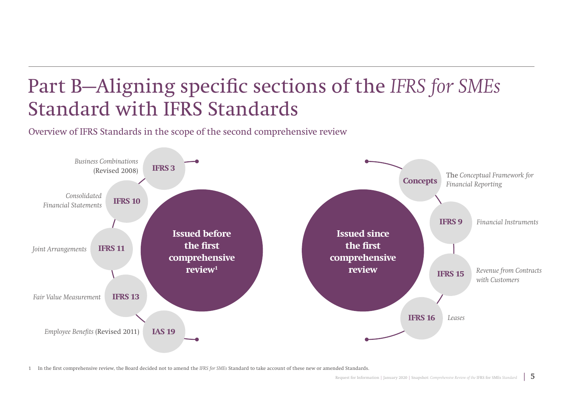# Part B—Aligning specific sections of the *IFRS for SMEs* Standard with IFRS Standards

Overview of IFRS Standards in the scope of the second comprehensive review



1 In the first comprehensive review, the Board decided not to amend the *IFRS for SMEs* Standard to take account of these new or amended Standards.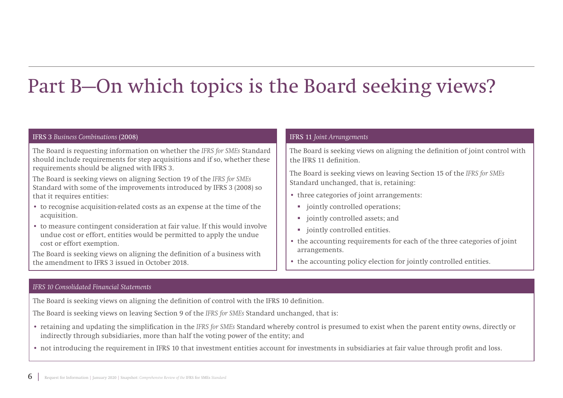# Part B—On which topics is the Board seeking views?

#### IFRS 3 *Business Combinations* (2008)

The Board is requesting information on whether the *IFRS for SMEs* Standard should include requirements for step acquisitions and if so, whether these requirements should be aligned with IFRS 3.

The Board is seeking views on aligning Section 19 of the *IFRS for SMEs* Standard with some of the improvements introduced by IFRS 3 (2008) so that it requires entities:

- to recognise acquisition-related costs as an expense at the time of the acquisition.
- to measure contingent consideration at fair value. If this would involve undue cost or effort, entities would be permitted to apply the undue cost or effort exemption.

The Board is seeking views on aligning the definition of a business with the amendment to IFRS 3 issued in October 2018.

#### IFRS 11 *Joint Arrangements*

The Board is seeking views on aligning the definition of joint control with the IFRS 11 definition.

The Board is seeking views on leaving Section 15 of the *IFRS for SMEs* Standard unchanged, that is, retaining:

- three categories of joint arrangements:
	- jointly controlled operations;
	- **u** jointly controlled assets; and
	- $\blacksquare$  jointly controlled entities.
- the accounting requirements for each of the three categories of joint arrangements.
- the accounting policy election for jointly controlled entities.

#### *IFRS 10 Consolidated Financial Statements*

The Board is seeking views on aligning the definition of control with the IFRS 10 definition.

The Board is seeking views on leaving Section 9 of the *IFRS for SMEs* Standard unchanged, that is:

- retaining and updating the simplification in the *IFRS for SMEs* Standard whereby control is presumed to exist when the parent entity owns, directly or indirectly through subsidiaries, more than half the voting power of the entity; and
- not introducing the requirement in IFRS 10 that investment entities account for investments in subsidiaries at fair value through profit and loss.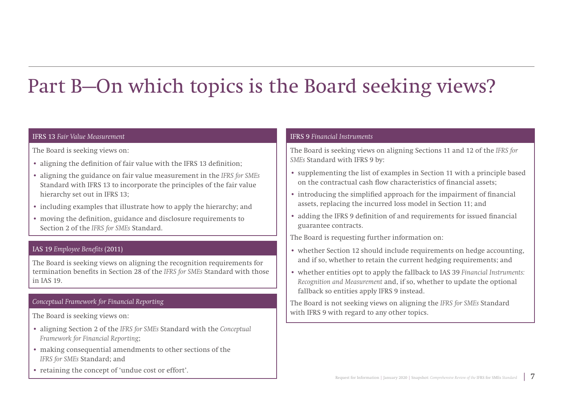# Part B—On which topics is the Board seeking views?

#### IFRS 13 *Fair Value Measurement*

The Board is seeking views on:

- aligning the definition of fair value with the IFRS 13 definition;
- aligning the guidance on fair value measurement in the *IFRS for SMEs* Standard with IFRS 13 to incorporate the principles of the fair value hierarchy set out in IFRS 13;
- including examples that illustrate how to apply the hierarchy; and
- moving the definition, guidance and disclosure requirements to Section 2 of the *IFRS for SMEs* Standard.

#### IAS 19 *Employee Benefits* (2011)

The Board is seeking views on aligning the recognition requirements for termination benefits in Section 28 of the *IFRS for SMEs* Standard with those in IAS 19.

#### *Conceptual Framework for Financial Reporting*

The Board is seeking views on:

- aligning Section 2 of the *IFRS for SMEs* Standard with the *Conceptual Framework for Financial Reporting*;
- making consequential amendments to other sections of the *IFRS for SMEs* Standard; and
- retaining the concept of 'undue cost or effort'.

#### IFRS 9 *Financial Instruments*

The Board is seeking views on aligning Sections 11 and 12 of the *IFRS for SMEs* Standard with IFRS 9 by:

- supplementing the list of examples in Section 11 with a principle based on the contractual cash flow characteristics of financial assets;
- introducing the simplified approach for the impairment of financial assets, replacing the incurred loss model in Section 11; and
- adding the IFRS 9 definition of and requirements for issued financial guarantee contracts.

The Board is requesting further information on:

- whether Section 12 should include requirements on hedge accounting, and if so, whether to retain the current hedging requirements; and
- whether entities opt to apply the fallback to IAS 39 *Financial Instruments: Recognition and Measurement* and, if so, whether to update the optional fallback so entities apply IFRS 9 instead.

The Board is not seeking views on aligning the *IFRS for SMEs* Standard with IFRS 9 with regard to any other topics.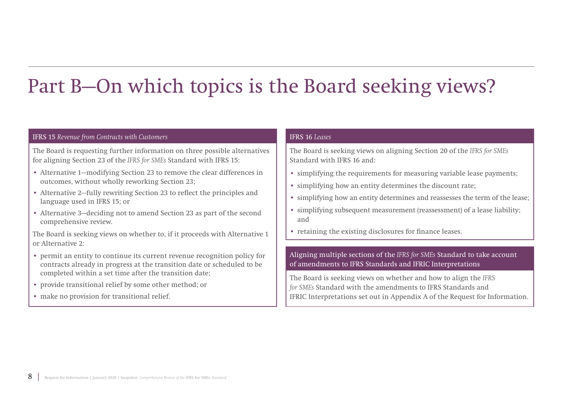# Part B—On which topics is the Board seeking views?

#### IFRS 15 *Revenue from Contracts with Customers*

The Board is requesting further information on three possible alternatives for aligning Section 23 of the *IFRS for SMEs* Standard with IFRS 15:

- Alternative 1—modifying Section 23 to remove the clear differences in outcomes, without wholly reworking Section 23;
- Alternative 2—fully rewriting Section 23 to reflect the principles and language used in IFRS 15; or
- Alternative 3—deciding not to amend Section 23 as part of the second comprehensive review.

The Board is seeking views on whether to, if it proceeds with Alternative 1 or Alternative 2:

- permit an entity to continue its current revenue recognition policy for contracts already in progress at the transition date or scheduled to be completed within a set time after the transition date;
- provide transitional relief by some other method; or
- make no provision for transitional relief.

#### IFRS 16 *Leases*

The Board is seeking views on aligning Section 20 of the *IFRS for SMEs* Standard with IFRS 16 and:

- simplifying the requirements for measuring variable lease payments;
- simplifying how an entity determines the discount rate;
- simplifying how an entity determines and reassesses the term of the lease;
- simplifying subsequent measurement (reassessment) of a lease liability; and
- retaining the existing disclosures for finance leases.

#### Aligning multiple sections of the *IFRS for SMEs* Standard to take account of amendments to IFRS Standards and IFRIC Interpretations

The Board is seeking views on whether and how to align the *IFRS for SMEs* Standard with the amendments to IFRS Standards and IFRIC Interpretations set out in Appendix A of the Request for Information.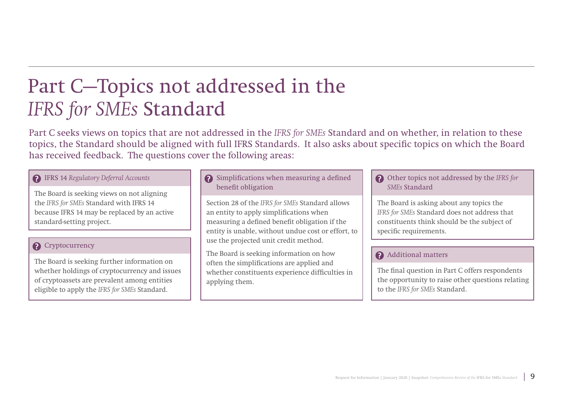## Part C—Topics not addressed in the *IFRS for SMEs* Standard

Part C seeks views on topics that are not addressed in the *IFRS for SMEs* Standard and on whether, in relation to these topics, the Standard should be aligned with full IFRS Standards. It also asks about specific topics on which the Board has received feedback. The questions cover the following areas:

#### IFRS 14 *Regulatory Deferral Accounts*

The Board is seeking views on not aligning the *IFRS for SMEs* Standard with IFRS 14 because IFRS 14 may be replaced by an active standard-setting project.

#### **2** Cryptocurrency

The Board is seeking further information on whether holdings of cryptocurrency and issues of cryptoassets are prevalent among entities eligible to apply the *IFRS for SMEs* Standard.

#### Simplifications when measuring a defined benefit obligation

Section 28 of the *IFRS for SMEs* Standard allows an entity to apply simplifications when measuring a defined benefit obligation if the entity is unable, without undue cost or effort, to use the projected unit credit method.

The Board is seeking information on how often the simplifications are applied and whether constituents experience difficulties in applying them.

#### Other topics not addressed by the *IFRS for SMEs* Standard

The Board is asking about any topics the *IFRS for SMEs* Standard does not address that constituents think should be the subject of specific requirements.

#### Additional matters

The final question in Part C offers respondents the opportunity to raise other questions relating to the *IFRS for SMEs* Standard.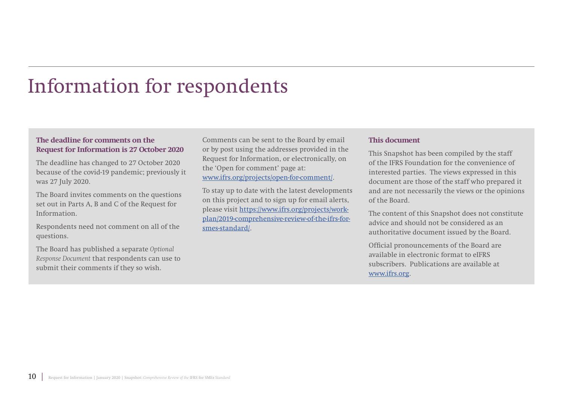### Information for respondents

#### **The deadline for comments on the Request for Information is 27 October 2020**

The deadline has changed to 27 October 2020 because of the covid-19 pandemic; previously it was 27 July 2020.

The Board invites comments on the questions set out in Parts A, B and C of the Request for Information.

Respondents need not comment on all of the questions.

The Board has published a separate *Optional Response Document* that respondents can use to submit their comments if they so wish.

Comments can be sent to the Board by email or by post using the addresses provided in the Request for Information, or electronically, on the 'Open for comment' page at: [www.ifrs.org/projects/open-for-comment/](http://www.ifrs.org/projects/open-for-comment/).

To stay up to date with the latest developments on this project and to sign up for email alerts, please visit [https://www.ifrs.org/projects/work](https://www.ifrs.org/projects/work-plan/2019-comprehensive-review-of-the-ifrs-for-smes-standard/)[plan/2019-comprehensive-review-of-the-ifrs-for](https://www.ifrs.org/projects/work-plan/2019-comprehensive-review-of-the-ifrs-for-smes-standard/)[smes-standard/.](https://www.ifrs.org/projects/work-plan/2019-comprehensive-review-of-the-ifrs-for-smes-standard/)

#### **This document**

This Snapshot has been compiled by the staff of the IFRS Foundation for the convenience of interested parties. The views expressed in this document are those of the staff who prepared it and are not necessarily the views or the opinions of the Board.

The content of this Snapshot does not constitute advice and should not be considered as an authoritative document issued by the Board.

Official pronouncements of the Board are available in electronic format to eIFRS subscribers. Publications are available at [www.ifrs.org.](http://www.ifrs.org)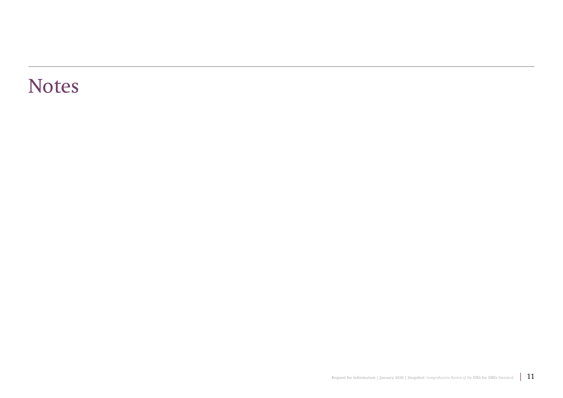### Notes